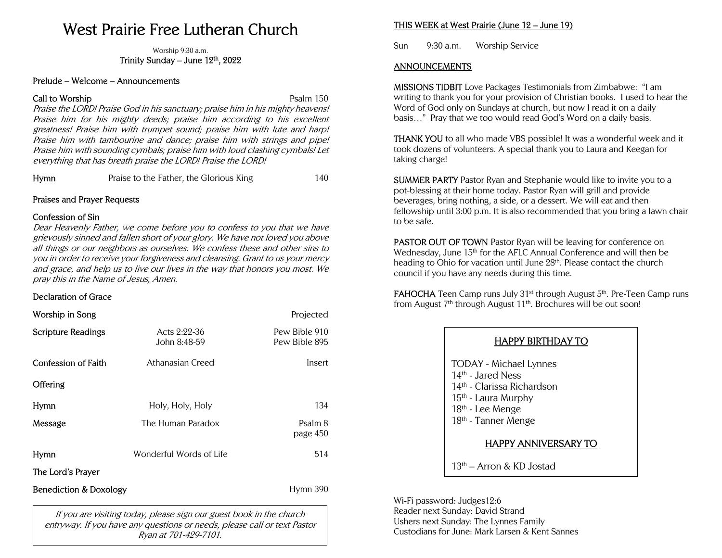# West Prairie Free Lutheran Church

Worship 9:30 a.m. Trinity Sunday – June  $12<sup>th</sup>$ ,  $2022$ 

#### Prelude – Welcome – Announcements

#### **Call to Worship Call to Worship Psalm 150**

Praise the LORD! Praise God in his sanctuary; praise him in his mighty heavens! Praise him for his mighty deeds; praise him according to his excellent greatness! Praise him with trumpet sound; praise him with lute and harp! Praise him with tambourine and dance; praise him with strings and pipe! Praise him with sounding cymbals; praise him with loud clashing cymbals! Let everything that has breath praise the LORD! Praise the LORD!

Hymn Praise to the Father, the Glorious King 140

#### Praises and Prayer Requests

#### Confession of Sin

Dear Heavenly Father, we come before you to confess to you that we have grievously sinned and fallen short of your glory. We have not loved you above all things or our neighbors as ourselves. We confess these and other sins to you in order to receive your forgiveness and cleansing. Grant to us your mercy and grace, and help us to live our lives in the way that honors you most. We pray this in the Name of Jesus, Amen.

#### Declaration of Grace

| Worship in Song                   |                                | Projected                      |
|-----------------------------------|--------------------------------|--------------------------------|
| <b>Scripture Readings</b>         | Acts $2:22-36$<br>John 8:48-59 | Pew Bible 910<br>Pew Bible 895 |
| <b>Confession of Faith</b>        | Athanasian Creed               | Insert                         |
| Offering                          |                                |                                |
| Hymn                              | Holy, Holy, Holy               | 134                            |
| Message                           | The Human Paradox              | Psalm 8<br>page 450            |
| <b>Hymn</b>                       | Wonderful Words of Life        | 514                            |
| The Lord's Prayer                 |                                |                                |
| <b>Benediction &amp; Doxology</b> |                                | Hymn 390                       |

If you are visiting today, please sign our guest book in the church entryway. If you have any questions or needs, please call or text Pastor Ryan at 701-429-7101.

## THIS WEEK at West Prairie (June 12 – June 19)

Sun 9:30 a.m. Worship Service

### ANNOUNCEMENTS

MISSIONS TIDBIT Love Packages Testimonials from Zimbabwe: "I am writing to thank you for your provision of Christian books. I used to hear the Word of God only on Sundays at church, but now I read it on a daily basis…" Pray that we too would read God's Word on a daily basis.

THANK YOU to all who made VBS possible! It was a wonderful week and it took dozens of volunteers. A special thank you to Laura and Keegan for taking charge!

SUMMER PARTY Pastor Ryan and Stephanie would like to invite you to a pot-blessing at their home today. Pastor Ryan will grill and provide beverages, bring nothing, a side, or a dessert. We will eat and then fellowship until 3:00 p.m. It is also recommended that you bring a lawn chair to be safe.

PASTOR OUT OF TOWN Pastor Ryan will be leaving for conference on Wednesday, June 15<sup>th</sup> for the AFLC Annual Conference and will then be heading to Ohio for vacation until June 28<sup>th</sup>. Please contact the church council if you have any needs during this time.

**FAHOCHA** Teen Camp runs July  $31<sup>st</sup>$  through August  $5<sup>th</sup>$ . Pre-Teen Camp runs from August 7<sup>th</sup> through August 11<sup>th</sup>. Brochures will be out soon!

| <b>HAPPY BIRTHDAY TO</b>                                                                                                                                                                           |  |
|----------------------------------------------------------------------------------------------------------------------------------------------------------------------------------------------------|--|
| <b>TODAY</b> - Michael Lynnes<br>14 <sup>th</sup> - Jared Ness<br>14 <sup>th</sup> - Clarissa Richardson<br>15 <sup>th</sup> - Laura Murphy<br>18th - Lee Menge<br>18 <sup>th</sup> - Tanner Menge |  |
| <b>HAPPY ANNIVERSARY TO</b>                                                                                                                                                                        |  |
| $13th$ – Arron & KD Jostad                                                                                                                                                                         |  |

Wi-Fi password: Judges12:6 Reader next Sunday: David Strand Ushers next Sunday: The Lynnes Family Custodians for June: Mark Larsen & Kent Sannes